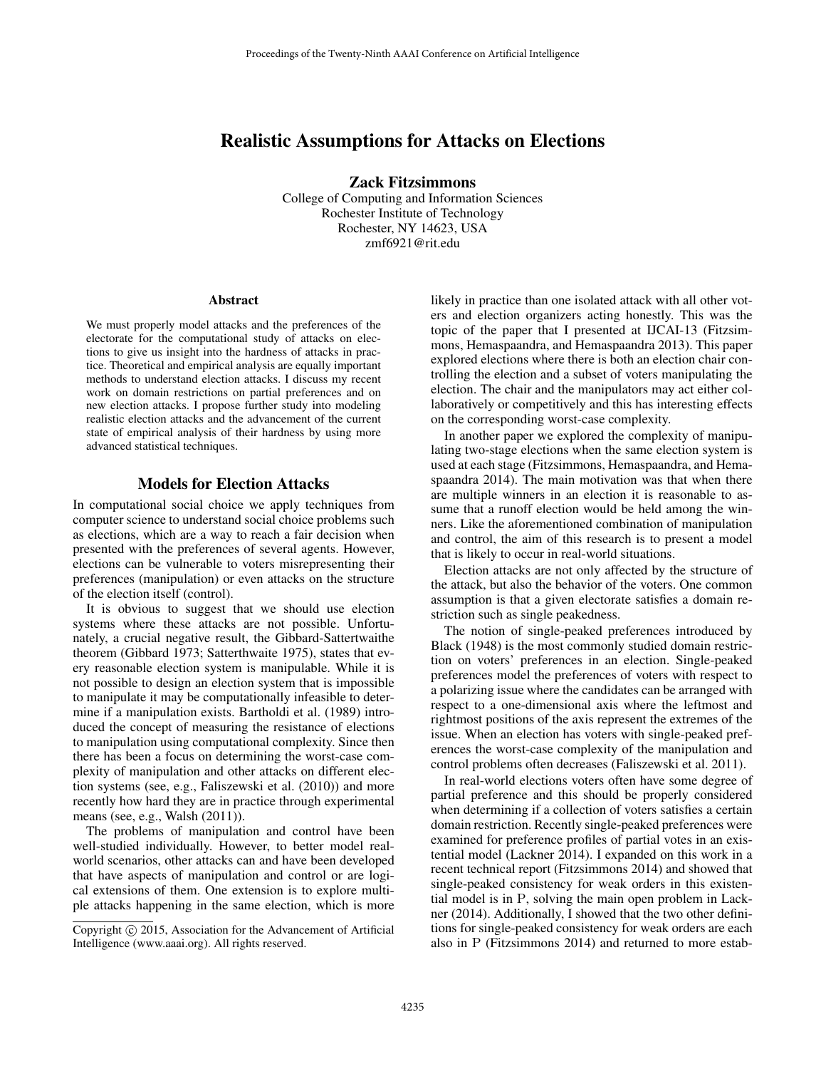# Realistic Assumptions for Attacks on Elections

Zack Fitzsimmons

College of Computing and Information Sciences Rochester Institute of Technology Rochester, NY 14623, USA zmf6921@rit.edu

#### Abstract

We must properly model attacks and the preferences of the electorate for the computational study of attacks on elections to give us insight into the hardness of attacks in practice. Theoretical and empirical analysis are equally important methods to understand election attacks. I discuss my recent work on domain restrictions on partial preferences and on new election attacks. I propose further study into modeling realistic election attacks and the advancement of the current state of empirical analysis of their hardness by using more advanced statistical techniques.

### Models for Election Attacks

In computational social choice we apply techniques from computer science to understand social choice problems such as elections, which are a way to reach a fair decision when presented with the preferences of several agents. However, elections can be vulnerable to voters misrepresenting their preferences (manipulation) or even attacks on the structure of the election itself (control).

It is obvious to suggest that we should use election systems where these attacks are not possible. Unfortunately, a crucial negative result, the Gibbard-Sattertwaithe theorem (Gibbard 1973; Satterthwaite 1975), states that every reasonable election system is manipulable. While it is not possible to design an election system that is impossible to manipulate it may be computationally infeasible to determine if a manipulation exists. Bartholdi et al. (1989) introduced the concept of measuring the resistance of elections to manipulation using computational complexity. Since then there has been a focus on determining the worst-case complexity of manipulation and other attacks on different election systems (see, e.g., Faliszewski et al. (2010)) and more recently how hard they are in practice through experimental means (see, e.g., Walsh (2011)).

The problems of manipulation and control have been well-studied individually. However, to better model realworld scenarios, other attacks can and have been developed that have aspects of manipulation and control or are logical extensions of them. One extension is to explore multiple attacks happening in the same election, which is more

likely in practice than one isolated attack with all other voters and election organizers acting honestly. This was the topic of the paper that I presented at IJCAI-13 (Fitzsimmons, Hemaspaandra, and Hemaspaandra 2013). This paper explored elections where there is both an election chair controlling the election and a subset of voters manipulating the election. The chair and the manipulators may act either collaboratively or competitively and this has interesting effects on the corresponding worst-case complexity.

In another paper we explored the complexity of manipulating two-stage elections when the same election system is used at each stage (Fitzsimmons, Hemaspaandra, and Hemaspaandra 2014). The main motivation was that when there are multiple winners in an election it is reasonable to assume that a runoff election would be held among the winners. Like the aforementioned combination of manipulation and control, the aim of this research is to present a model that is likely to occur in real-world situations.

Election attacks are not only affected by the structure of the attack, but also the behavior of the voters. One common assumption is that a given electorate satisfies a domain restriction such as single peakedness.

The notion of single-peaked preferences introduced by Black (1948) is the most commonly studied domain restriction on voters' preferences in an election. Single-peaked preferences model the preferences of voters with respect to a polarizing issue where the candidates can be arranged with respect to a one-dimensional axis where the leftmost and rightmost positions of the axis represent the extremes of the issue. When an election has voters with single-peaked preferences the worst-case complexity of the manipulation and control problems often decreases (Faliszewski et al. 2011).

In real-world elections voters often have some degree of partial preference and this should be properly considered when determining if a collection of voters satisfies a certain domain restriction. Recently single-peaked preferences were examined for preference profiles of partial votes in an existential model (Lackner 2014). I expanded on this work in a recent technical report (Fitzsimmons 2014) and showed that single-peaked consistency for weak orders in this existential model is in P, solving the main open problem in Lackner (2014). Additionally, I showed that the two other definitions for single-peaked consistency for weak orders are each also in P (Fitzsimmons 2014) and returned to more estab-

Copyright (c) 2015, Association for the Advancement of Artificial Intelligence (www.aaai.org). All rights reserved.